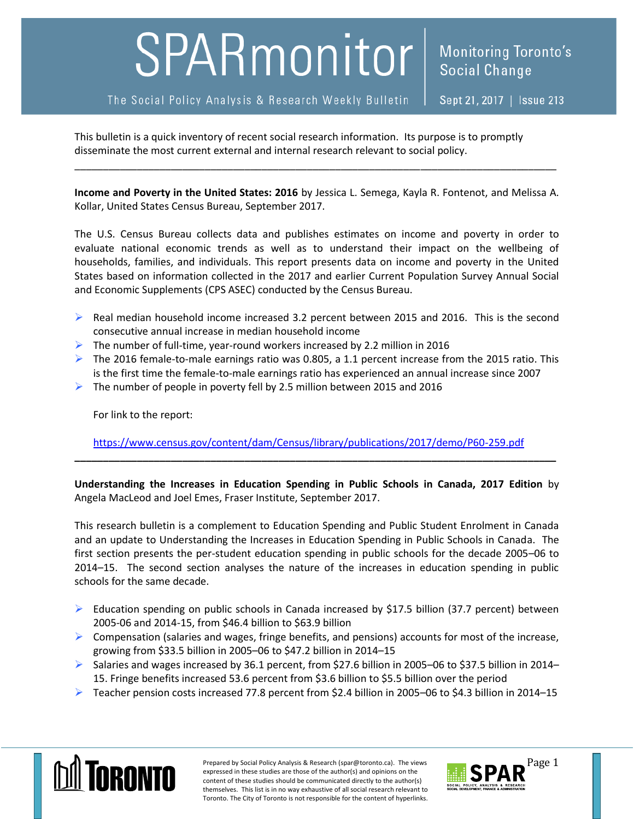# SPARmonitor

This bulletin is a quick inventory of recent social research information. Its purpose is to promptly disseminate the most current external and internal research relevant to social policy.

**Income and Poverty in the United States: 2016** by Jessica L. Semega, Kayla R. Fontenot, and Melissa A. Kollar, United States Census Bureau, September 2017.

\_\_\_\_\_\_\_\_\_\_\_\_\_\_\_\_\_\_\_\_\_\_\_\_\_\_\_\_\_\_\_\_\_\_\_\_\_\_\_\_\_\_\_\_\_\_\_\_\_\_\_\_\_\_\_\_\_\_\_\_\_\_\_\_\_\_\_\_\_\_\_\_\_\_\_\_\_\_\_\_\_\_\_\_\_

The U.S. Census Bureau collects data and publishes estimates on income and poverty in order to evaluate national economic trends as well as to understand their impact on the wellbeing of households, families, and individuals. This report presents data on income and poverty in the United States based on information collected in the 2017 and earlier Current Population Survey Annual Social and Economic Supplements (CPS ASEC) conducted by the Census Bureau.

- $\triangleright$  Real median household income increased 3.2 percent between 2015 and 2016. This is the second consecutive annual increase in median household income
- $\triangleright$  The number of full-time, year-round workers increased by 2.2 million in 2016
- The 2016 female-to-male earnings ratio was 0.805, a 1.1 percent increase from the 2015 ratio. This is the first time the female-to-male earnings ratio has experienced an annual increase since 2007
- $\triangleright$  The number of people in poverty fell by 2.5 million between 2015 and 2016

For link to the report:

<https://www.census.gov/content/dam/Census/library/publications/2017/demo/P60-259.pdf>

**Understanding the Increases in Education Spending in Public Schools in Canada, 2017 Edition** by Angela MacLeod and Joel Emes, Fraser Institute, September 2017.

**\_\_\_\_\_\_\_\_\_\_\_\_\_\_\_\_\_\_\_\_\_\_\_\_\_\_\_\_\_\_\_\_\_\_\_\_\_\_\_\_\_\_\_\_\_\_\_\_\_\_\_\_\_\_\_\_\_\_\_\_\_\_\_\_\_\_\_\_\_\_\_\_\_\_\_\_\_\_\_\_\_\_\_\_\_**

This research bulletin is a complement to Education Spending and Public Student Enrolment in Canada and an update to Understanding the Increases in Education Spending in Public Schools in Canada. The first section presents the per-student education spending in public schools for the decade 2005–06 to 2014–15. The second section analyses the nature of the increases in education spending in public schools for the same decade.

- Education spending on public schools in Canada increased by \$17.5 billion (37.7 percent) between 2005-06 and 2014-15, from \$46.4 billion to \$63.9 billion
- $\triangleright$  Compensation (salaries and wages, fringe benefits, and pensions) accounts for most of the increase, growing from \$33.5 billion in 2005–06 to \$47.2 billion in 2014–15
- $\triangleright$  Salaries and wages increased by 36.1 percent, from \$27.6 billion in 2005–06 to \$37.5 billion in 2014– 15. Fringe benefits increased 53.6 percent from \$3.6 billion to \$5.5 billion over the period
- Teacher pension costs increased 77.8 percent from \$2.4 billion in 2005–06 to \$4.3 billion in 2014–15



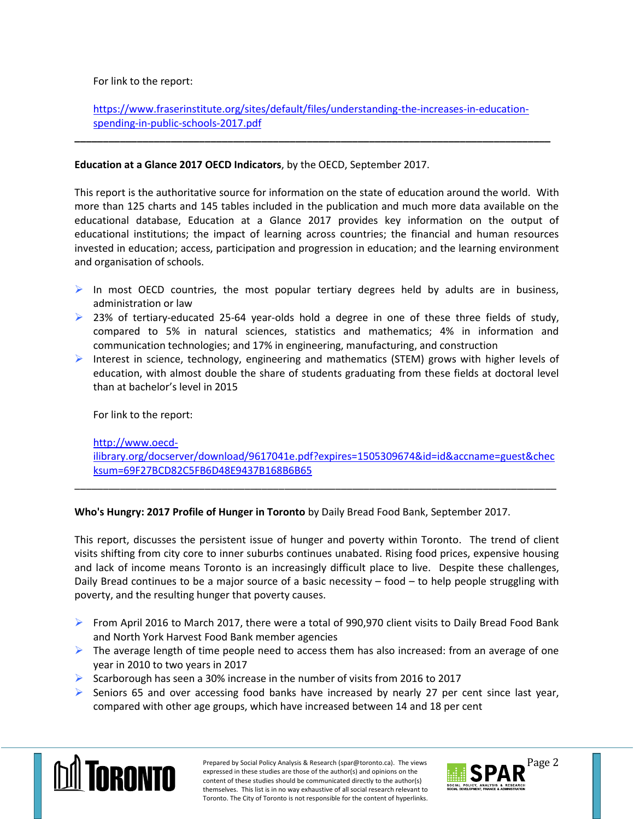For link to the report:

# [https://www.fraserinstitute.org/sites/default/files/understanding-the-increases-in-education](https://www.fraserinstitute.org/sites/default/files/understanding-the-increases-in-education-spending-in-public-schools-2017.pdf)[spending-in-public-schools-2017.pdf](https://www.fraserinstitute.org/sites/default/files/understanding-the-increases-in-education-spending-in-public-schools-2017.pdf)

**\_\_\_\_\_\_\_\_\_\_\_\_\_\_\_\_\_\_\_\_\_\_\_\_\_\_\_\_\_\_\_\_\_\_\_\_\_\_\_\_\_\_\_\_\_\_\_\_\_\_\_\_\_\_\_\_\_\_\_\_\_\_\_\_\_\_\_\_\_\_\_\_\_\_\_\_\_\_\_\_\_\_\_\_**

# **Education at a Glance 2017 OECD Indicators**, by the OECD, September 2017.

This report is the authoritative source for information on the state of education around the world. With more than 125 charts and 145 tables included in the publication and much more data available on the educational database, Education at a Glance 2017 provides key information on the output of educational institutions; the impact of learning across countries; the financial and human resources invested in education; access, participation and progression in education; and the learning environment and organisation of schools.

- In most OECD countries, the most popular tertiary degrees held by adults are in business, administration or law
- $\triangleright$  23% of tertiary-educated 25-64 year-olds hold a degree in one of these three fields of study, compared to 5% in natural sciences, statistics and mathematics; 4% in information and communication technologies; and 17% in engineering, manufacturing, and construction
- Interest in science, technology, engineering and mathematics (STEM) grows with higher levels of education, with almost double the share of students graduating from these fields at doctoral level than at bachelor's level in 2015

For link to the report:

## [http://www.oecd-](http://www.oecd-ilibrary.org/docserver/download/9617041e.pdf?expires=1505309674&id=id&accname=guest&checksum=69F27BCD82C5FB6D48E9437B168B6B65)

[ilibrary.org/docserver/download/9617041e.pdf?expires=1505309674&id=id&accname=guest&chec](http://www.oecd-ilibrary.org/docserver/download/9617041e.pdf?expires=1505309674&id=id&accname=guest&checksum=69F27BCD82C5FB6D48E9437B168B6B65) [ksum=69F27BCD82C5FB6D48E9437B168B6B65](http://www.oecd-ilibrary.org/docserver/download/9617041e.pdf?expires=1505309674&id=id&accname=guest&checksum=69F27BCD82C5FB6D48E9437B168B6B65)

\_\_\_\_\_\_\_\_\_\_\_\_\_\_\_\_\_\_\_\_\_\_\_\_\_\_\_\_\_\_\_\_\_\_\_\_\_\_\_\_\_\_\_\_\_\_\_\_\_\_\_\_\_\_\_\_\_\_\_\_\_\_\_\_\_\_\_\_\_\_\_\_\_\_\_\_\_\_\_\_\_\_\_\_\_

**Who's Hungry: 2017 Profile of Hunger in Toronto** by Daily Bread Food Bank, September 2017.

This report, discusses the persistent issue of hunger and poverty within Toronto. The trend of client visits shifting from city core to inner suburbs continues unabated. Rising food prices, expensive housing and lack of income means Toronto is an increasingly difficult place to live. Despite these challenges, Daily Bread continues to be a major source of a basic necessity – food – to help people struggling with poverty, and the resulting hunger that poverty causes.

- From April 2016 to March 2017, there were a total of 990,970 client visits to Daily Bread Food Bank and North York Harvest Food Bank member agencies
- $\triangleright$  The average length of time people need to access them has also increased: from an average of one year in 2010 to two years in 2017
- Scarborough has seen a 30% increase in the number of visits from 2016 to 2017
- $\triangleright$  Seniors 65 and over accessing food banks have increased by nearly 27 per cent since last year, compared with other age groups, which have increased between 14 and 18 per cent